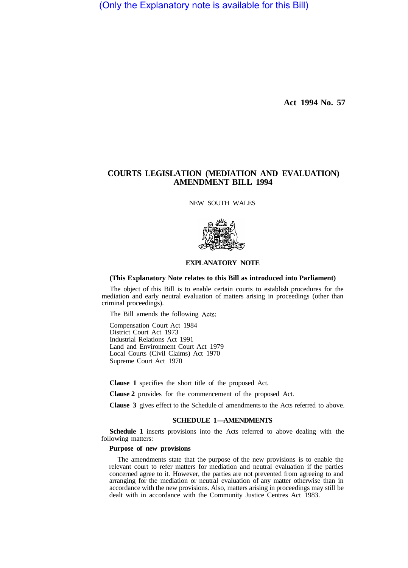(Only the Explanatory note is available for this Bill)

**Act 1994 No. 57** 

# **COURTS LEGISLATION (MEDIATION AND EVALUATION) AMENDMENT BILL 1994**

NEW SOUTH WALES



## **EXPLANATORY NOTE**

#### **(This Explanatory Note relates to this Bill as introduced into Parliament)**

The object of this Bill is to enable certain courts to establish procedures for the mediation and early neutral evaluation of matters arising in proceedings (other than criminal proceedings).

The Bill amends the following Acts:

Compensation Court Act 1984 District Court Act 1973 Industrial Relations Act 1991 Land and Environment Court Act 1979 Local Courts (Civil Claims) Act 1970 Supreme Court Act 1970

**Clause 1** specifies the short title of the proposed Act.

**Clause 2** provides for the commencement of the proposed Act.

**Clause 3** gives effect to the Schedule of amendments to the Acts referred to above.

### **SCHEDULE 1-AMENDMENTS**

**Schedule 1** inserts provisions into the Acts referred to above dealing with the following matters:

### **Purpose of new provisions**

The amendments state that the purpose of the new provisions is to enable the relevant court to refer matters for mediation and neutral evaluation if the parties concerned agree to it. However, the parties are not prevented from agreeing to and arranging for the mediation or neutral evaluation of any matter otherwise than in accordance with the new provisions. Also, matters arising in proceedings may still be dealt with in accordance with the Community Justice Centres Act 1983.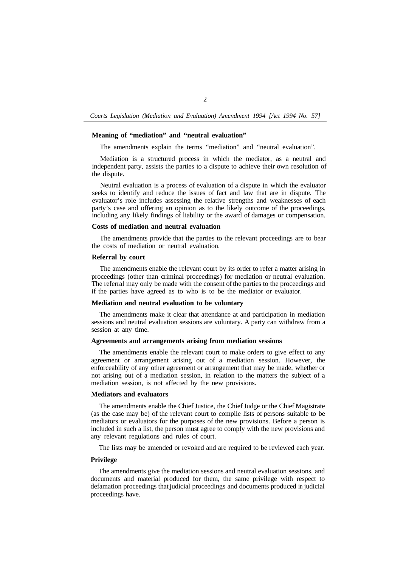*Courts Legislation (Mediation and Evaluation) Amendment 1994 [Act 1994 No. 57]* 

## **Meaning of "mediation" and "neutral evaluation"**

The amendments explain the terms "mediation" and "neutral evaluation".

Mediation is a structured process in which the mediator, as a neutral and independent party, assists the parties to a dispute to achieve their own resolution of the dispute.

Neutral evaluation is a process of evaluation of a dispute in which the evaluator seeks to identify and reduce the issues of fact and law that are in dispute. The evaluator's role includes assessing the relative strengths and weaknesses of each party's case and offering an opinion as to the likely outcome of the proceedings, including any likely findings of liability or the award of damages or compensation.

### **Costs of mediation and neutral evaluation**

The amendments provide that the parties to the relevant proceedings are to bear the costs of mediation or neutral evaluation.

## **Referral by court**

The amendments enable the relevant court by its order to refer a matter arising in proceedings (other than criminal proceedings) for mediation or neutral evaluation. The referral may only be made with the consent of the parties to the proceedings and if the parties have agreed as to who is to be the mediator or evaluator.

### **Mediation and neutral evaluation to be voluntary**

The amendments make it clear that attendance at and participation in mediation sessions and neutral evaluation sessions are voluntary. A party can withdraw from a session at any time.

## **Agreements and arrangements arising from mediation sessions**

The amendments enable the relevant court to make orders to give effect to any agreement or arrangement arising out of a mediation session. However, the enforceability of any other agreement or arrangement that may be made, whether or not arising out of a mediation session, in relation to the matters the subject of a mediation session, is not affected by the new provisions.

### **Mediators and evaluators**

The amendments enable the Chief Justice, the Chief Judge or the Chief Magistrate (as the case may be) of the relevant court to compile lists of persons suitable to be mediators or evaluators for the purposes of the new provisions. Before a person is included in such a list, the person must agree to comply with the new provisions and any relevant regulations and rules of court.

The lists may be amended or revoked and are required to be reviewed each year.

### **Privilege**

The amendments give the mediation sessions and neutral evaluation sessions, and documents and material produced for them, the same privilege with respect to defamation proceedings that judicial proceedings and documents produced in judicial proceedings have.